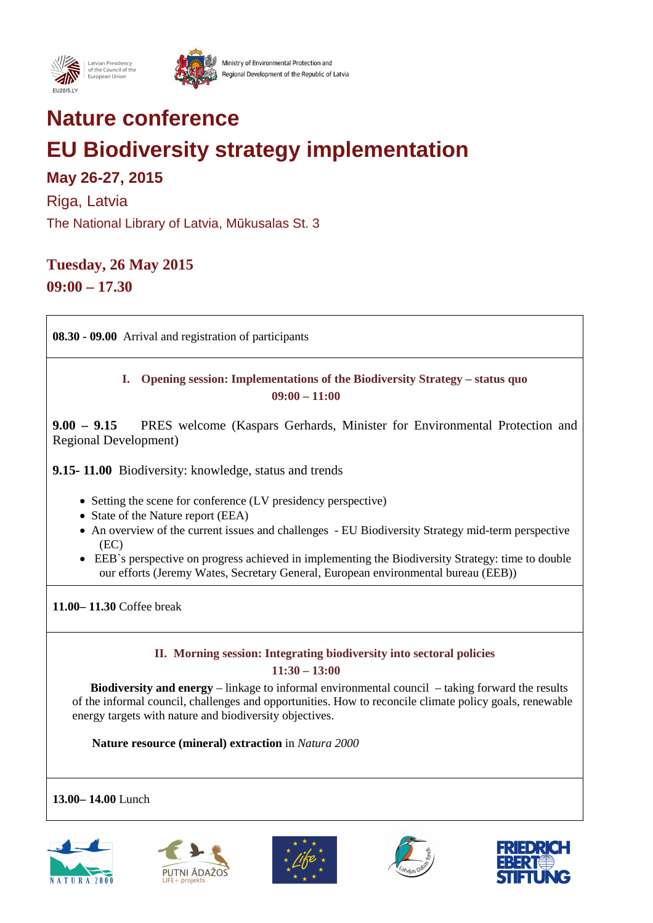

## **Nature conference**

# **EU Biodiversity strategy implementation**

### **May 26-27, 2015**

Riga, Latvia

The National Library of Latvia, Mūkusalas St. 3

### **Tuesday, 26 May 2015**

**09:00 – 17.30** 

**08.30 - 09.00** Arrival and registration of participants

### **I. Opening session: Implementations of the Biodiversity Strategy – status quo 09:00 – 11:00**

**9.00 – 9.15** PRES welcome (Kaspars Gerhards, Minister for Environmental Protection and Regional Development)

**9.15- 11.00** Biodiversity: knowledge, status and trends

- Setting the scene for conference (LV presidency perspective)
- State of the Nature report (EEA)
- An overview of the current issues and challenges EU Biodiversity Strategy mid-term perspective (EC)
- EEB`s perspective on progress achieved in implementing the Biodiversity Strategy: time to double our efforts (Jeremy Wates, Secretary General, European environmental bureau (EEB))

**11.00– 11.30** Coffee break

#### **II. Morning session: Integrating biodiversity into sectoral policies 11:30 – 13:00**

 **Biodiversity and energy** – linkage to informal environmental council – taking forward the results of the informal council, challenges and opportunities. How to reconcile climate policy goals, renewable energy targets with nature and biodiversity objectives.

**Nature resource (mineral) extraction** in *Natura 2000*

### **13.00– 14.00** Lunch









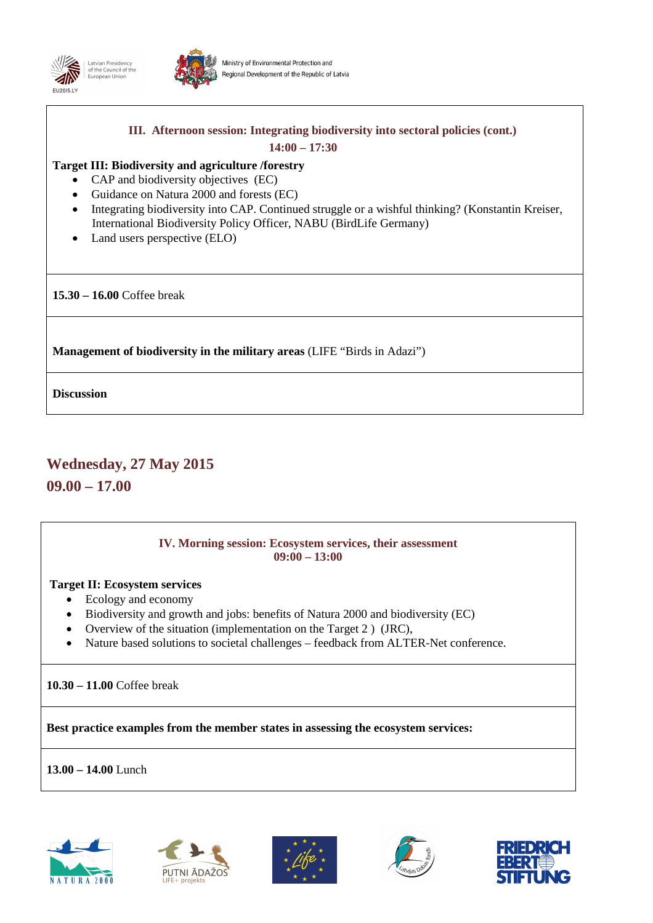



## **III. Afternoon session: Integrating biodiversity into sectoral policies (cont.) 14:00 – 17:30 Target III: Biodiversity and agriculture /forestry** • CAP and biodiversity objectives (EC) • Guidance on Natura 2000 and forests (EC) • Integrating biodiversity into CAP. Continued struggle or a wishful thinking? (Konstantin Kreiser, International Biodiversity Policy Officer, NABU (BirdLife Germany) • Land users perspective (ELO) **15.30 – 16.00** Coffee break **Management of biodiversity in the military areas** (LIFE "Birds in Adazi")

**Discussion** 

### **Wednesday, 27 May 2015**

**09.00 – 17.00** 

#### **IV. Morning session: Ecosystem services, their assessment 09:00 – 13:00**

### **Target II: Ecosystem services**

- Ecology and economy
- Biodiversity and growth and jobs: benefits of Natura 2000 and biodiversity (EC)
- Overview of the situation (implementation on the Target 2) (JRC),
- Nature based solutions to societal challenges feedback from ALTER-Net conference.

**10.30 – 11.00** Coffee break

**Best practice examples from the member states in assessing the ecosystem services:** 

**13.00 – 14.00** Lunch